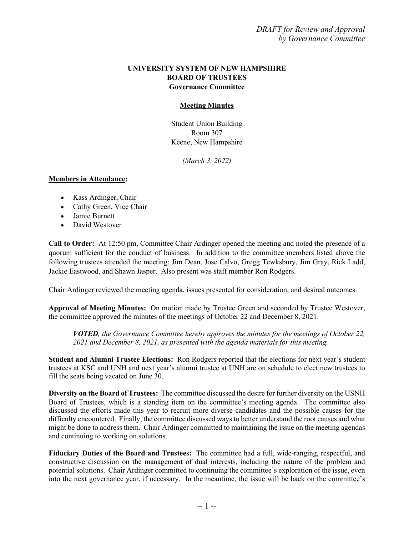## **UNIVERSITY SYSTEM OF NEW HAMPSHIRE BOARD OF TRUSTEES Governance Committee**

## **Meeting Minutes**

Student Union Building Room 307 Keene, New Hampshire

*(March 3, 2022)*

## **Members in Attendance:**

- Kass Ardinger, Chair
- Cathy Green, Vice Chair
- Jamie Burnett
- David Westover

**Call to Order:** At 12:50 pm, Committee Chair Ardinger opened the meeting and noted the presence of a quorum sufficient for the conduct of business. In addition to the committee members listed above the following trustees attended the meeting: Jim Dean, Jose Calvo, Gregg Tewksbury, Jim Gray, Rick Ladd, Jackie Eastwood, and Shawn Jasper. Also present was staff member Ron Rodgers.

Chair Ardinger reviewed the meeting agenda, issues presented for consideration, and desired outcomes.

**Approval of Meeting Minutes:** On motion made by Trustee Green and seconded by Trustee Westover, the committee approved the minutes of the meetings of October 22 and December 8, 2021.

*VOTED, the Governance Committee hereby approves the minutes for the meetings of October 22, 2021 and December 8, 2021, as presented with the agenda materials for this meeting.*

**Student and Alumni Trustee Elections:** Ron Rodgers reported that the elections for next year's student trustees at KSC and UNH and next year's alumni trustee at UNH are on schedule to elect new trustees to fill the seats being vacated on June 30.

**Diversity on the Board of Trustees:** The committee discussed the desire for further diversity on the USNH Board of Trustees, which is a standing item on the committee's meeting agenda. The committee also discussed the efforts made this year to recruit more diverse candidates and the possible causes for the difficulty encountered. Finally, the committee discussed ways to better understand the root causes and what might be done to address them. Chair Ardinger committed to maintaining the issue on the meeting agendas and continuing to working on solutions.

**Fiduciary Duties of the Board and Trustees:** The committee had a full, wide-ranging, respectful, and constructive discussion on the management of dual interests, including the nature of the problem and potential solutions. Chair Ardinger committed to continuing the committee's exploration of the issue, even into the next governance year, if necessary. In the meantime, the issue will be back on the committee's